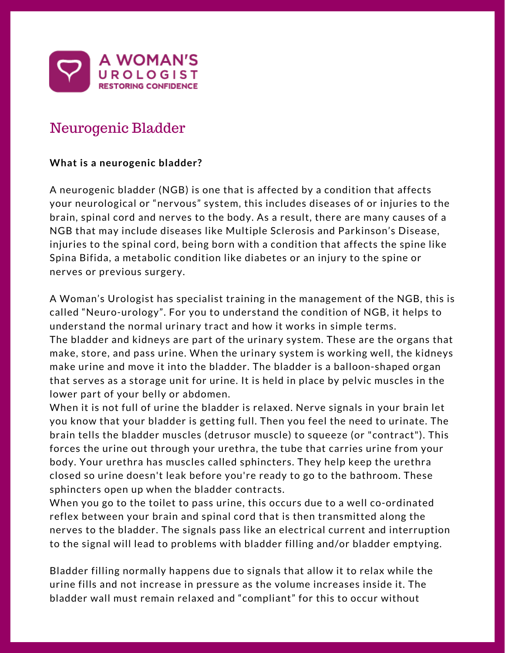

# Neurogenic Bladder

# **What is a neurogenic bladder?**

A neurogenic bladder (NGB) is one that is affected by a condition that affects your neurological or "nervous" system, this includes diseases of or injuries to the brain, spinal cord and nerves to the body. As a result, there are many causes of a NGB that may include diseases like Multiple Sclerosis and Parkinson's Disease, injuries to the spinal cord, being born with a condition that affects the spine like Spina Bifida, a metabolic condition like diabetes or an injury to the spine or nerves or previous surgery.

A Woman's Urologist has specialist training in the management of the NGB, this is called "Neuro-urology". For you to understand the condition of NGB, it helps to understand the normal urinary tract and how it works in simple terms. The bladder and kidneys are part of the urinary system. These are the organs that make, store, and pass urine. When the urinary system is working well, the kidneys make urine and move it into the bladder. The bladder is a balloon-shaped organ that serves as a storage unit for urine. It is held in place by pelvic muscles in the lower part of your belly or abdomen.

When it is not full of urine the bladder is relaxed. Nerve signals in your brain let you know that your bladder is getting full. Then you feel the need to urinate. The brain tells the bladder muscles (detrusor muscle) to squeeze (or "contract"). This forces the urine out through your urethra, the tube that carries urine from your body. Your urethra has muscles called sphincters. They help keep the urethra closed so urine doesn't leak before you're ready to go to the bathroom. These sphincters open up when the bladder contracts.

When you go to the toilet to pass urine, this occurs due to a well co-ordinated reflex between your brain and spinal cord that is then transmitted along the nerves to the bladder. The signals pass like an electrical current and interruption to the signal will lead to problems with bladder filling and/or bladder emptying.

Bladder filling normally happens due to signals that allow it to relax while the urine fills and not increase in pressure as the volume increases inside it. The bladder wall must remain relaxed and "compliant" for this to occur without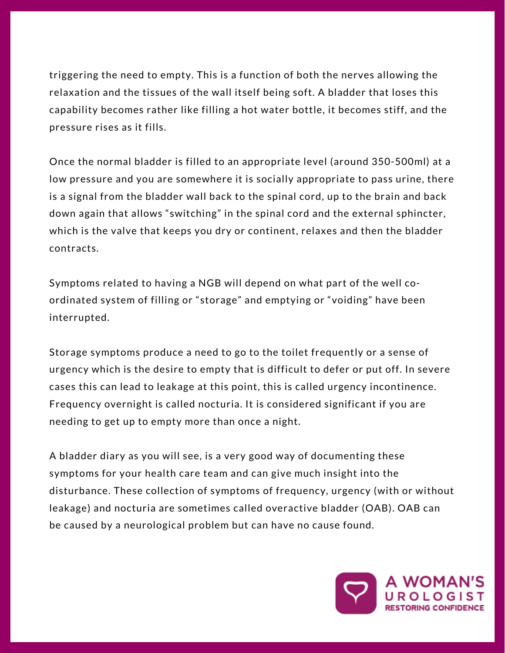triggering the need to empty. This is a function of both the nerves allowing the relaxation and the tissues of the wall itself being soft. A bladder that loses this capability becomes rather like filling a hot water bottle, it becomes stiff, and the pressure rises as it fills.

Once the normal bladder is filled to an appropriate level (around 350-500ml) at a low pressure and you are somewhere it is socially appropriate to pass urine, there is a signal from the bladder wall back to the spinal cord, up to the brain and back down again that allows "switching" in the spinal cord and the external sphincter, which is the valve that keeps you dry or continent, relaxes and then the bladder contracts.

Symptoms related to having a NGB will depend on what part of the well coordinated system of filling or "storage" and emptying or "voiding" have been interrupted.

Storage symptoms produce a need to go to the toilet frequently or a sense of urgency which is the desire to empty that is difficult to defer or put off. In severe cases this can lead to leakage at this point, this is called urgency incontinence. Frequency overnight is called nocturia. It is considered significant if you are needing to get up to empty more than once a night.

A bladder diary as you will see, is a very good way of documenting these symptoms for your health care team and can give much insight into the disturbance. These collection of symptoms of frequency, urgency (with or without leakage) and nocturia are sometimes called overactive bladder (OAB). OAB can be caused by a neurological problem but can have no cause found.

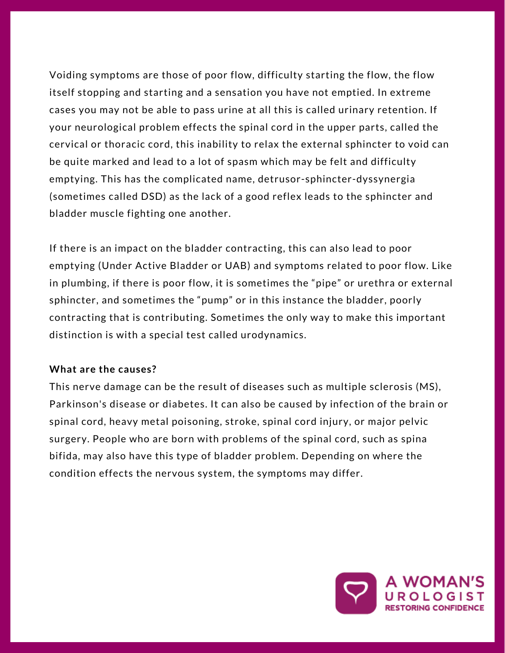Voiding symptoms are those of poor flow, difficulty starting the flow, the flow itself stopping and starting and a sensation you have not emptied. In extreme cases you may not be able to pass urine at all this is called urinary retention. If your neurological problem effects the spinal cord in the upper parts, called the cervical or thoracic cord, this inability to relax the external sphincter to void can be quite marked and lead to a lot of spasm which may be felt and difficulty emptying. This has the complicated name, detrusor-sphincter-dyssynergia (sometimes called DSD) as the lack of a good reflex leads to the sphincter and bladder muscle fighting one another.

If there is an impact on the bladder contracting, this can also lead to poor emptying (Under Active Bladder or UAB) and symptoms related to poor flow. Like in plumbing, if there is poor flow, it is sometimes the "pipe" or urethra or external sphincter, and sometimes the "pump" or in this instance the bladder, poorly contracting that is contributing. Sometimes the only way to make this important distinction is with a special test called urodynamics.

## **What are the causes?**

This nerve damage can be the result of diseases such as multiple sclerosis (MS), Parkinson's disease or diabetes. It can also be caused by infection of the brain or spinal cord, heavy metal poisoning, stroke, spinal cord injury, or major pelvic surgery. People who are born with problems of the spinal cord, such as spina bifida, may also have this type of bladder problem. Depending on where the condition effects the nervous system, the symptoms may differ.

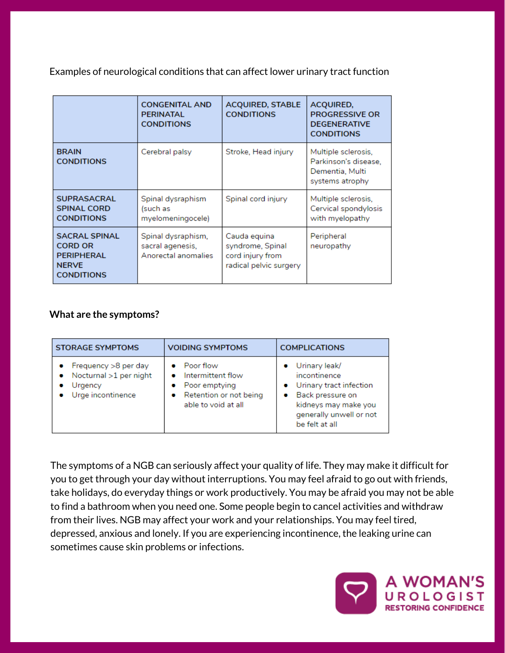Examples of neurological conditions that can affect lower urinary tract function

|                                                                                           | <b>CONGENITAL AND</b><br><b>PERINATAL</b><br><b>CONDITIONS</b> | <b>ACQUIRED, STABLE</b><br><b>CONDITIONS</b>                                   | ACQUIRED,<br><b>PROGRESSIVE OR</b><br><b>DEGENERATIVE</b><br><b>CONDITIONS</b>    |
|-------------------------------------------------------------------------------------------|----------------------------------------------------------------|--------------------------------------------------------------------------------|-----------------------------------------------------------------------------------|
| <b>BRAIN</b><br><b>CONDITIONS</b>                                                         | Cerebral palsy                                                 | Stroke, Head injury                                                            | Multiple sclerosis,<br>Parkinson's disease,<br>Dementia, Multi<br>systems atrophy |
| <b>SUPRASACRAL</b><br><b>SPINAL CORD</b><br><b>CONDITIONS</b>                             | Spinal dysraphism<br>(such as<br>myelomeningocele)             | Spinal cord injury                                                             | Multiple sclerosis,<br>Cervical spondylosis<br>with myelopathy                    |
| <b>SACRAL SPINAL</b><br><b>CORD OR</b><br>PERIPHERAL<br><b>NERVE</b><br><b>CONDITIONS</b> | Spinal dysraphism,<br>sacral agenesis,<br>Anorectal anomalies  | Cauda equina<br>syndrome, Spinal<br>cord injury from<br>radical pelvic surgery | Peripheral<br>neuropathy                                                          |

## **What are the symptoms?**

| <b>STORAGE SYMPTOMS</b>                                                        | <b>VOIDING SYMPTOMS</b>                                                                          | <b>COMPLICATIONS</b>                                                                                                                              |
|--------------------------------------------------------------------------------|--------------------------------------------------------------------------------------------------|---------------------------------------------------------------------------------------------------------------------------------------------------|
| Frequency >8 per day<br>Nocturnal >1 per night<br>Urgency<br>Urge incontinence | Poor flow<br>Intermittent flow<br>Poor emptying<br>Retention or not being<br>able to void at all | Urinary leak/<br>incontinence<br>Urinary tract infection<br>Back pressure on<br>kidneys may make you<br>generally unwell or not<br>be felt at all |

The symptoms of a NGB can seriously affect your quality of life. They may make it difficult for you to get through your day without interruptions. You may feel afraid to go out with friends, take holidays, do everyday things or work productively. You may be afraid you may not be able to find a bathroom when you need one. Some people begin to cancel activities and withdraw from their lives. NGB may affect your work and your relationships. You may feel tired, depressed, anxious and lonely. If you are experiencing incontinence, the leaking urine can sometimes cause skin problems or infections.

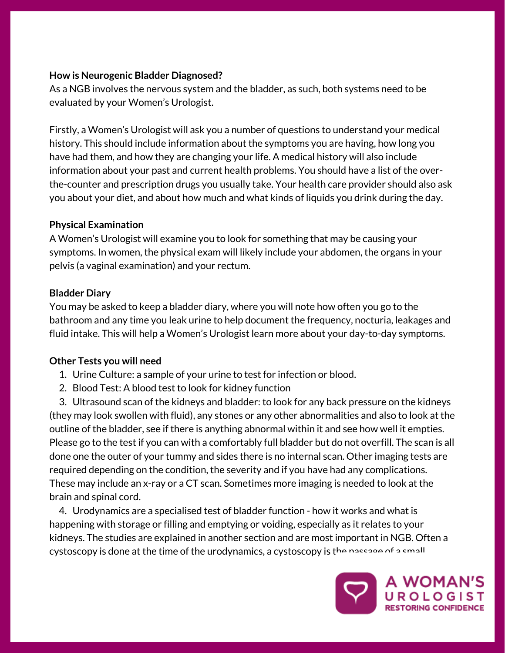## **How is Neurogenic Bladder Diagnosed?**

As a NGB involves the nervous system and the bladder, as such, both systems need to be evaluated by your Women's Urologist.

Firstly, a Women's Urologist will ask you a number of questions to understand your medical history. This should include information about the symptoms you are having, how long you have had them, and how they are changing your life. A medical history will also include information about your past and current health problems. You should have a list of the overthe-counter and prescription drugs you usually take. Your health care provider should also ask you about your diet, and about how much and what kinds of liquids you drink during the day.

## **Physical Examination**

A Women's Urologist will examine you to look for something that may be causing your symptoms. In women, the physical exam will likely include your abdomen, the organs in your pelvis (a vaginal examination) and your rectum.

## **Bladder Diary**

You may be asked to keep a bladder diary, where you will note how often you go to the bathroom and any time you leak urine to help document the frequency, nocturia, leakages and fluid intake. This will help a Women's Urologist learn more about your day-to-day symptoms.

## **Other Tests you will need**

- 1. Urine Culture: a sample of your urine to test for infection or blood.
- 2. Blood Test: A blood test to look for kidney function

3. Ultrasound scan of the kidneys and bladder: to look for any back pressure on the kidneys (they may look swollen with fluid), any stones or any other abnormalities and also to look at the outline of the bladder, see if there is anything abnormal within it and see how well it empties. Please go to the test if you can with a comfortably full bladder but do not overfill. The scan is all done one the outer of your tummy and sides there is no internal scan. Other imaging tests are required depending on the condition, the severity and if you have had any [complications.](https://www.safetyandquality.gov.au/our-work/transvaginal-mesh/resources/) These may include an x-ray or a CT scan. Sometimes more imaging is needed to look at the brain and spinal cord.

4. Urodynamics are a specialised test of bladder function - how it works and what is happening with storage or filling and emptying or voiding, especially as it relates to your kidneys. The studies are explained in another section and are most important in NGB. Often a cystoscopy is done at the time of the urodynamics, a cystoscopy is the passage of a small

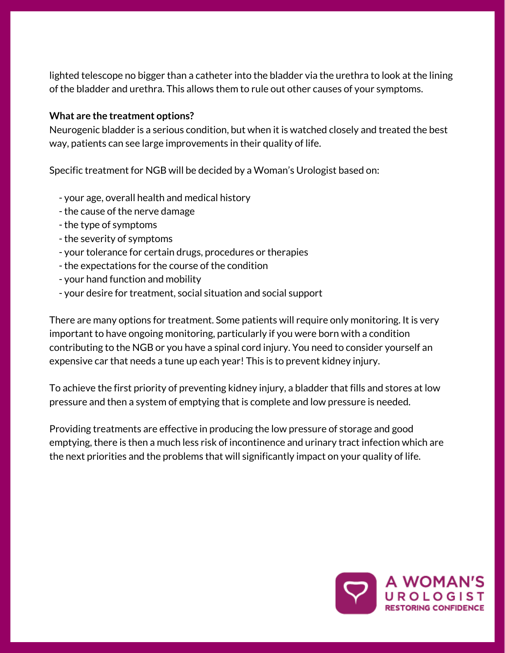lighted telescope no bigger than a catheter into the bladder via the urethra to look at the lining of the bladder and urethra. This allows them to rule out other causes of your symptoms.

## **What are the treatment options?**

Neurogenic bladder is a serious condition, but when it is watched closely and treated the best way, patients can see large [improvements](https://www.safetyandquality.gov.au/our-work/transvaginal-mesh/resources/) in their quality of life.

Specific treatment for NGB will be decided by a Woman's Urologist based on:

- your age, overall health and medical history
- the cause of the nerve damage
- the type of symptoms
- the severity of symptoms
- your tolerance for certain drugs, procedures or therapies
- the expectations for the course of the condition
- your hand function and mobility
- your desire for treatment, social situation and social support

There are many options for treatment. Some patients will require only monitoring. It is very important to have ongoing monitoring, particularly if you were born with a condition contributing to the NGB or you have a spinal cord injury. You need to consider yourself an expensive car that needs a tune up each year! This is to prevent kidney injury.

To achieve the first priority of preventing kidney injury, a bladder that fills and stores at low pressure and then a system of emptying that is complete and low pressure is needed.

Providing treatments are effective in producing the low pressure of storage and good emptying, there is then a much less risk of incontinence and urinary tract infection which are the next priorities and the problems that will significantly impact on your quality of life.

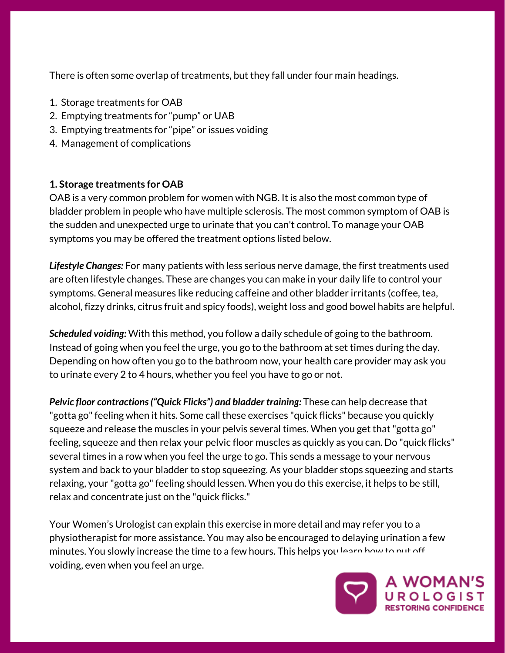There is often some overlap of treatments, but they fall under four main headings.

- 1. Storage treatments for OAB
- 2. Emptying treatments for "pump" or UAB
- 3. Emptying treatments for "pipe" or issues voiding
- 4. Management of complications

# **1. Storage treatments for OAB**

OAB is a very common problem for women with NGB. It is also the most common type of bladder problem in people who have multiple sclerosis. The most common symptom of OAB is the sudden and unexpected urge to urinate that you can't control. To manage your OAB symptoms you may be offered the treatment options listed below.

*Lifestyle Changes:* For many patients with less serious nerve damage, the first treatments used are often lifestyle changes. These are changes you can make in your daily life to control your symptoms. General measures like reducing caffeine and other bladder irritants (coffee, tea, alcohol, fizzy drinks, citrus fruit and spicy foods), weight loss and good bowel habits are helpful.

*Scheduled voiding:* With this method, you follow a daily schedule of going to the bathroom. Instead of going when you feel the urge, you go to the bathroom at set times during the day. Depending on how often you go to the bathroom now, your health care provider may ask you to urinate every 2 to 4 hours, whether you feel you have to go or not.

*Pelvic floor [contractions\("Quick](https://www.safetyandquality.gov.au/our-work/transvaginal-mesh/resources/) Flicks") and bladder training:* These can help decrease that "gotta go" feeling when it hits. Some call these exercises "quick flicks" because you quickly squeeze and release the muscles in your pelvis several times. When you get that"gotta go" feeling, squeeze and then relax your pelvic floor muscles as quickly as you can. Do "quick flicks" several times in a row when you feel the urge to go. This sends a message to your nervous system and back to your bladder to stop squeezing. As your bladder stops squeezing and starts relaxing, your "gotta go" feeling should lessen. When you do this exercise, it helps to be still, relax and concentrate just on the "quick flicks."

Your Women's Urologist can explain this exercise in more detail and may refer you to a physiotherapist for more assistance. You may also be encouraged to delaying urination a few minutes. You slowly increase the time to a few hours. This helps you learn how to put off voiding, even when you feel an urge.

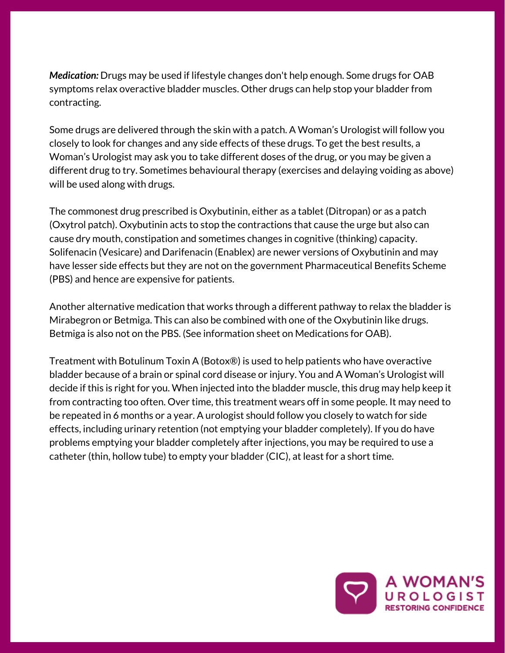*Medication:* Drugs may be used if lifestyle changes don't help enough. Some drugs for OAB symptoms relax overactive bladder muscles. Other drugs can help stop your bladder from contracting.

Some drugs are delivered through the skin with a patch. A Woman's Urologist will follow you closely to look for changes and any side effects of these drugs. To get the best results, a Woman's Urologist may ask you to take different doses of the drug, or you may be given a different drug to try. Sometimes behavioural therapy (exercises and delaying voiding as above) will be used along with drugs.

The commonest drug prescribed is Oxybutinin, either as a tablet (Ditropan) or as a patch (Oxytrol patch). Oxybutinin acts to stop the contractions that cause the urge but also can cause dry mouth, constipation and sometimes changes in cognitive (thinking) capacity. Solifenacin (Vesicare) and Darifenacin (Enablex) are newer versions of Oxybutinin and may have lesser side effects but they are not on the government [Pharmaceutical](https://www.safetyandquality.gov.au/our-work/transvaginal-mesh/resources/) Benefits Scheme (PBS) and hence are expensive for patients.

Another alternative medication that works through a different pathway to relax the bladder is Mirabegron or Betmiga. This can also be combined with one of the Oxybutinin like drugs. Betmiga is also not on the PBS. (See information sheet on Medications for OAB).

Treatment with Botulinum Toxin A (Botox®) is used to help patients who have overactive bladder because of a brain or spinal cord disease or injury. You and A Woman's Urologist will decide if this is right for you. When injected into the bladder muscle, this drug may help keep it from contracting too often. Over time, this treatment wears off in some people. It may need to be repeated in 6 months or a year. A urologist should follow you closely to watch for side effects, including urinary retention (not emptying your bladder completely). If you do have problems emptying your bladder completely after injections, you may be required to use a catheter (thin, hollow tube) to empty your bladder (CIC), at least for a short time.

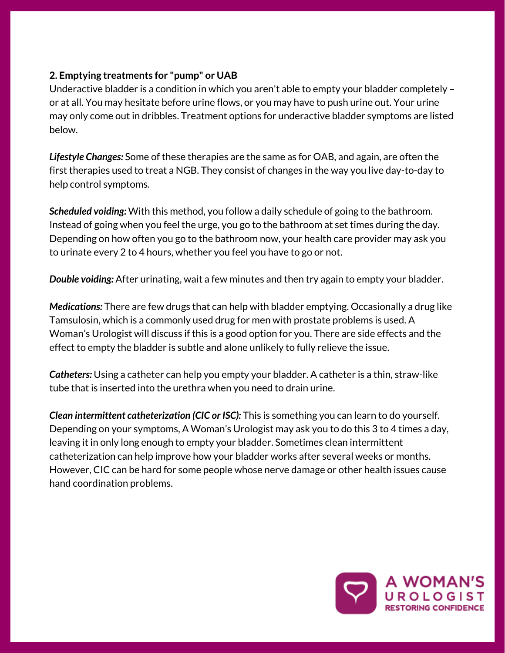## **2. Emptying treatments for "pump" or UAB**

Underactive bladder is a condition in which you aren't able to empty your bladder completely – or at all. You may hesitate before urine flows, or you may have to push urine out. Your urine may only come out in dribbles. Treatment options for underactive bladder symptoms are listed below.

*Lifestyle Changes:* Some of these therapies are the same as for OAB, and again, are often the first therapies used to treat a NGB. They consist of changes in the way you live day-to-day to help control symptoms.

*Scheduled voiding:* With this method, you follow a daily schedule of going to the bathroom. Instead of going when you feel the urge, you go to the bathroom at set times during the day. Depending on how often you go to the bathroom now, your health care provider may ask you to urinate every 2 to 4 hours, whether you feel you have to go or not.

*Double voiding:* After urinating, wait a few minutes and then try again to empty your bladder.

*Medications:* There are few drugs that can help with bladder emptying. Occasionally a drug like Tamsulosin, which is a commonly used drug for men with prostate problems is used. A Woman's Urologist will discuss if this is a good option for you. There are side effects and the effect to empty the bladder is subtle and alone unlikely to fully relieve the issue.

*Catheters:* Using a catheter can help you empty your bladder. A catheter is a thin, straw-like tube that is inserted into the urethra when you need to drain urine.

*Clean intermittent catheterization (CIC or ISC):* This is something you can learn to do yourself. Depending on your symptoms, A Woman's Urologist may ask you to do this 3 to 4 times a day, leaving it in only long enough to empty your bladder. Sometimes clean intermittent [catheterization](https://www.safetyandquality.gov.au/our-work/transvaginal-mesh/resources/) can help improve how your bladder works after several weeks or months. However, CIC can be hard for some people whose nerve damage or other health issues cause hand coordination problems.

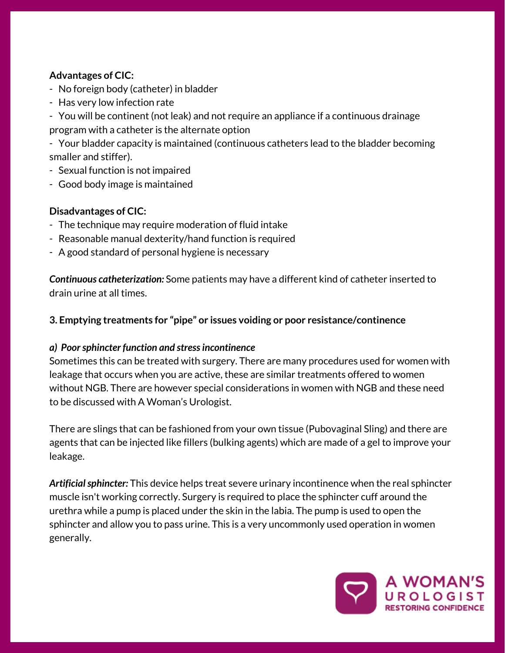## **Advantages of CIC:**

- No foreign body (catheter) in bladder
- Has very low infection rate
- You will be continent (not leak) and not require an appliance if a continuous drainage program with a catheter is the alternate option

- Your bladder capacity is maintained (continuous catheters lead to the bladder becoming smaller and stiffer).

- Sexual function is not impaired
- Good body image is maintained

## **Disadvantages of CIC:**

- The technique may require moderation of fluid intake
- Reasonable manual dexterity/hand function is required
- A good standard of personal hygiene is necessary

*Continuous catheterization:* Some patients may have a different kind of catheter inserted to drain urine at all times.

**3. Emptying treatments for "pipe" or issues voiding or poor [resistance/continence](https://www.safetyandquality.gov.au/our-work/transvaginal-mesh/resources/)**

#### *a) Poorsphincter function and stressincontinence*

Sometimes this can be treated with surgery. There are many procedures used for women with leakage that occurs when you are active, these are similar treatments offered to women without NGB. There are however special considerations in women with NGB and these need to be discussed with A Woman's Urologist.

There are slings that can be fashioned from your own tissue (Pubovaginal Sling) and there are agents that can be injected like fillers (bulking agents) which are made of a gel to improve your leakage.

Artificial sphincter: This device helps treat severe urinary incontinence when the real sphincter muscle isn't working correctly. Surgery is required to place the sphincter cuff around the urethra while a pump is placed under the skin in the labia. The pump is used to open the sphincter and allow you to pass urine. This is a very uncommonly used operation in women generally.